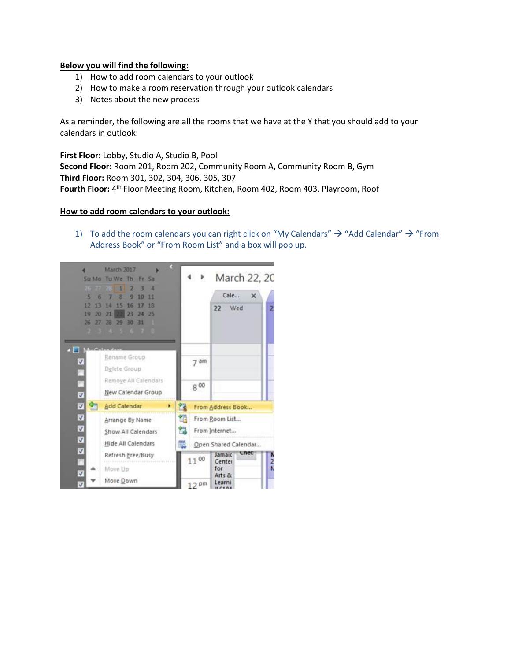# **Below you will find the following:**

- 1) How to add room calendars to your outlook
- 2) How to make a room reservation through your outlook calendars
- 3) Notes about the new process

As a reminder, the following are all the rooms that we have at the Y that you should add to your calendars in outlook:

**First Floor:** Lobby, Studio A, Studio B, Pool **Second Floor:** Room 201, Room 202, Community Room A, Community Room B, Gym **Third Floor:** Room 301, 302, 304, 306, 305, 307 Fourth Floor: 4<sup>th</sup> Floor Meeting Room, Kitchen, Room 402, Room 403, Playroom, Roof

### **How to add room calendars to your outlook:**

1) To add the room calendars you can right click on "My Calendars"  $\rightarrow$  "Add Calendar"  $\rightarrow$  "From Address Book" or "From Room List" and a box will pop up.

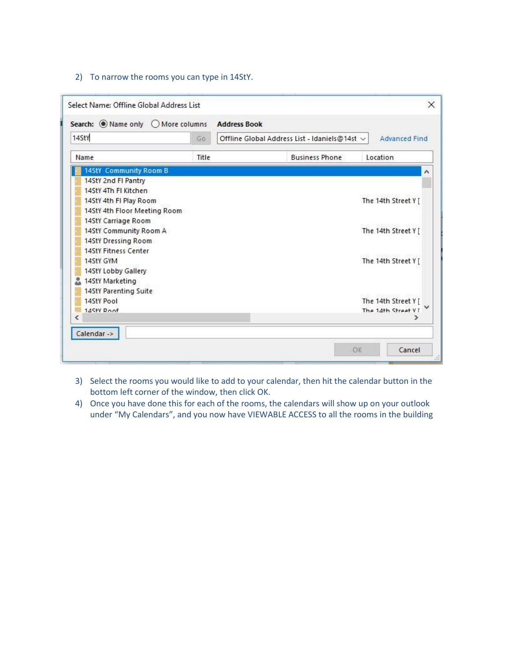## 2) To narrow the rooms you can type in 14StY.

| Search: Wame only O More columns |       | <b>Address Book</b> |                                               |                      |  |
|----------------------------------|-------|---------------------|-----------------------------------------------|----------------------|--|
| 14StY                            | Go    |                     | Offline Global Address List - Idaniels@14st ~ | <b>Advanced Find</b> |  |
| Name                             | Title |                     | <b>Business Phone</b>                         | Location             |  |
| 14StY Community Room B           |       |                     |                                               |                      |  |
| 14StY 2nd FI Pantry              |       |                     |                                               |                      |  |
| 14StY 4Th FI Kitchen             |       |                     |                                               |                      |  |
| 14StY 4th FI Play Room           |       |                     |                                               | The 14th Street Y [  |  |
| 14StY 4th Floor Meeting Room     |       |                     |                                               |                      |  |
| 14StY Carriage Room              |       |                     |                                               |                      |  |
| 14StY Community Room A           |       |                     |                                               | The 14th Street Y [  |  |
| 14StY Dressing Room              |       |                     |                                               |                      |  |
| 14StY Fitness Center             |       |                     |                                               |                      |  |
| 14StY GYM                        |       |                     |                                               | The 14th Street Y [  |  |
| 14StY Lobby Gallery              |       |                     |                                               |                      |  |
| 14StY Marketing                  |       |                     |                                               |                      |  |
| 14StY Parenting Suite            |       |                     |                                               |                      |  |
| 14StY Pool                       |       |                     |                                               | The 14th Street Y    |  |
| 14StV Roof                       |       |                     |                                               | The 14th Street VI   |  |
| €                                |       |                     |                                               |                      |  |

- 3) Select the rooms you would like to add to your calendar, then hit the calendar button in the bottom left corner of the window, then click OK.
- 4) Once you have done this for each of the rooms, the calendars will show up on your outlook under "My Calendars", and you now have VIEWABLE ACCESS to all the rooms in the building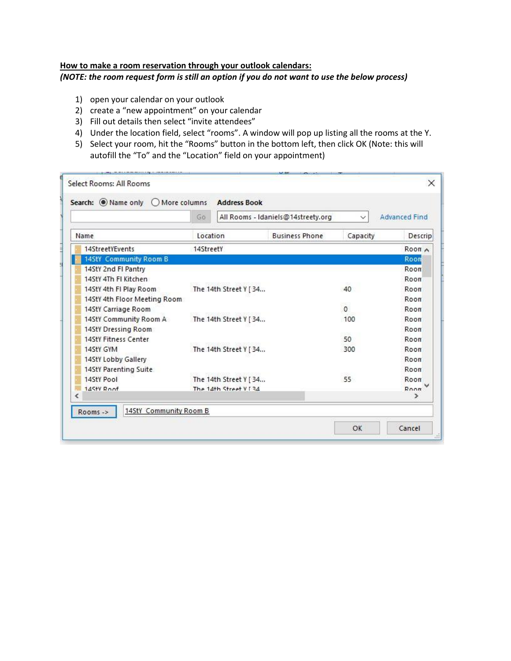# **How to make a room reservation through your outlook calendars:** *(NOTE: the room request form is still an option if you do not want to use the below process)*

- 1) open your calendar on your outlook
- 2) create a "new appointment" on your calendar
- 3) Fill out details then select "invite attendees"
- 4) Under the location field, select "rooms". A window will pop up listing all the rooms at the Y.
- 5) Select your room, hit the "Rooms" button in the bottom left, then click OK (Note: this will autofill the "To" and the "Location" field on your appointment)

| Search: Name only O More columns              | Go        |                        | All Rooms - Idaniels@14streety.org | $\checkmark$ | <b>Advanced Find</b> |
|-----------------------------------------------|-----------|------------------------|------------------------------------|--------------|----------------------|
| Name                                          |           | Location               | <b>Business Phone</b>              | Capacity     | <b>Descrip</b>       |
| 14StreetYEvents                               | 14StreetY |                        |                                    |              | Room A               |
| 14StY Community Room B                        |           |                        |                                    |              | Roon                 |
| 14StY 2nd FI Pantry                           |           |                        |                                    |              | Room                 |
| 14StY 4Th FI Kitchen                          |           |                        |                                    |              | Room                 |
| 14StY 4th FI Play Room                        |           | The 14th Street Y [ 34 |                                    | 40           | Room                 |
| 14StY 4th Floor Meeting Room                  |           |                        |                                    |              | Room                 |
| 14StY Carriage Room                           |           |                        |                                    | $\Omega$     | Room                 |
| 14StY Community Room A                        |           | The 14th Street Y [34  |                                    | 100          | Room                 |
| 14StY Dressing Room                           |           |                        |                                    |              | Room                 |
| 14StY Fitness Center                          |           |                        |                                    | 50           | Room                 |
| 14StY GYM                                     |           | The 14th Street Y [ 34 |                                    | 300          | Room                 |
| 14StY Lobby Gallery                           |           |                        |                                    |              | Room                 |
| 14StY Parenting Suite                         |           |                        |                                    |              | Room                 |
| 14StY Pool                                    |           | The 14th Street Y [ 34 |                                    | 55           | Room                 |
| 14Sty Roof<br>ℯ                               |           | The 14th Street V [34  |                                    |              | Room<br>Y.           |
| 14StY Community Room B<br>Rooms $\rightarrow$ |           |                        |                                    |              |                      |
|                                               |           |                        |                                    | OK           | Cancel               |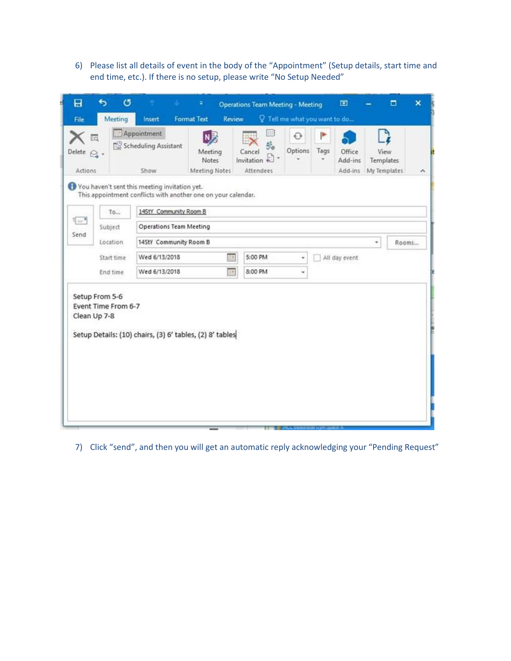6) Please list all details of event in the body of the "Appointment" (Setup details, start time and end time, etc.). If there is no setup, please write "No Setup Needed"

| <sup>•</sup> Appointment<br>明明<br>N灵<br>P<br>$\odot$<br>16<br>y.<br>Scheduling Assistant<br>Options.<br>Tags<br>Office<br>Meeting<br>Cancel<br>Delete $\bigcirc$ -<br>Invitation $\mathbb{C}$ -<br><b>Notes</b><br>Add-ins<br>۰<br><b>Attendees</b><br>Actions<br>Meeting Notes<br>Show<br>Add-ins<br>You haven't sent this meeting invitation yet.<br>This appointment conflicts with another one on your calendar.<br>14StY Community Room B<br>To<br>$\overline{\mathbb{R}}$<br><b>Operations Team Meeting</b><br>Subject<br>Send<br>14StY Community Room B<br>Location<br>88R<br>Wed 6/13/2018<br>5:00 PM<br>Start time<br>All day event<br>÷.<br>8:00 PM<br>Wed 6/13/2018<br>腰<br>End time<br>× | View<br><b>Templates</b><br>My Templates<br>٨ |
|------------------------------------------------------------------------------------------------------------------------------------------------------------------------------------------------------------------------------------------------------------------------------------------------------------------------------------------------------------------------------------------------------------------------------------------------------------------------------------------------------------------------------------------------------------------------------------------------------------------------------------------------------------------------------------------------------|-----------------------------------------------|
|                                                                                                                                                                                                                                                                                                                                                                                                                                                                                                                                                                                                                                                                                                      |                                               |
|                                                                                                                                                                                                                                                                                                                                                                                                                                                                                                                                                                                                                                                                                                      |                                               |
|                                                                                                                                                                                                                                                                                                                                                                                                                                                                                                                                                                                                                                                                                                      | ÷<br>Rooms                                    |
|                                                                                                                                                                                                                                                                                                                                                                                                                                                                                                                                                                                                                                                                                                      |                                               |
| Setup From 5-6<br>Event Time From 6-7<br>Clean Up 7-8<br>Setup Details: (10) chairs, (3) 6' tables, (2) 8' tables                                                                                                                                                                                                                                                                                                                                                                                                                                                                                                                                                                                    |                                               |

7) Click "send", and then you will get an automatic reply acknowledging your "Pending Request"